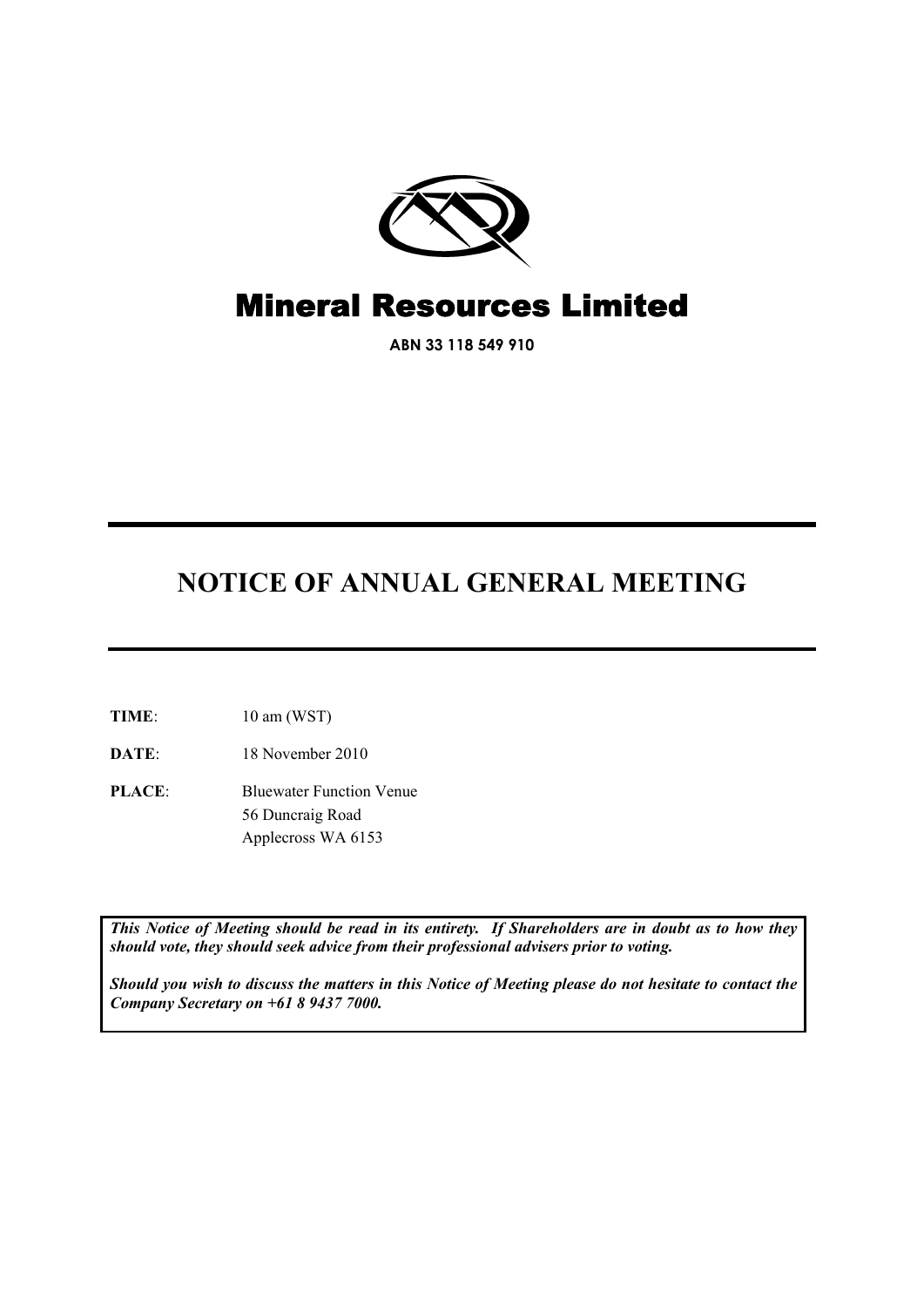

# Mineral Resources Limited

**ABN 33 118 549 910** 

# **NOTICE OF ANNUAL GENERAL MEETING**

- **TIME**: 10 am (WST)
- **DATE**: 18 November 2010
- **PLACE**: Bluewater Function Venue 56 Duncraig Road Applecross WA 6153

*This Notice of Meeting should be read in its entirety. If Shareholders are in doubt as to how they should vote, they should seek advice from their professional advisers prior to voting.* 

*Should you wish to discuss the matters in this Notice of Meeting please do not hesitate to contact the Company Secretary on +61 8 9437 7000.*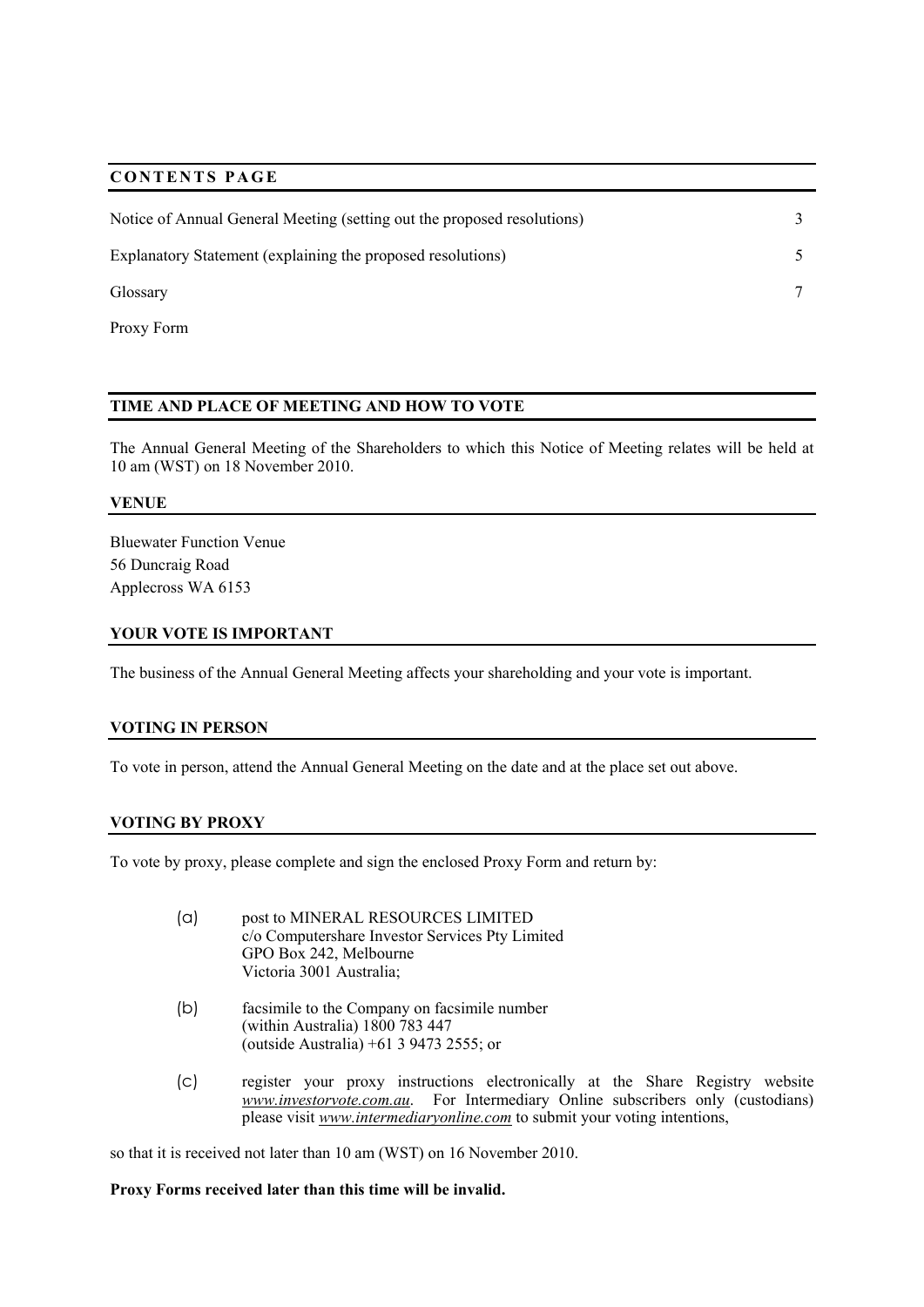# **CONTENTS PAGE**

| Notice of Annual General Meeting (setting out the proposed resolutions) |  |
|-------------------------------------------------------------------------|--|
| Explanatory Statement (explaining the proposed resolutions)             |  |
| Glossary                                                                |  |

## **TIME AND PLACE OF MEETING AND HOW TO VOTE**

The Annual General Meeting of the Shareholders to which this Notice of Meeting relates will be held at 10 am (WST) on 18 November 2010.

#### **VENUE**

Proxy Form

Bluewater Function Venue 56 Duncraig Road Applecross WA 6153

#### **YOUR VOTE IS IMPORTANT**

The business of the Annual General Meeting affects your shareholding and your vote is important.

#### **VOTING IN PERSON**

To vote in person, attend the Annual General Meeting on the date and at the place set out above.

#### **VOTING BY PROXY**

To vote by proxy, please complete and sign the enclosed Proxy Form and return by:

- (a) post to MINERAL RESOURCES LIMITED c/o Computershare Investor Services Pty Limited GPO Box 242, Melbourne Victoria 3001 Australia;
- (b) facsimile to the Company on facsimile number (within Australia) 1800 783 447 (outside Australia) +61 3 9473 2555; or
- (c) register your proxy instructions electronically at the Share Registry website *www.investorvote.com.au*. For Intermediary Online subscribers only (custodians) please visit *www.intermediaryonline.com* to submit your voting intentions,

so that it is received not later than 10 am (WST) on 16 November 2010.

#### **Proxy Forms received later than this time will be invalid.**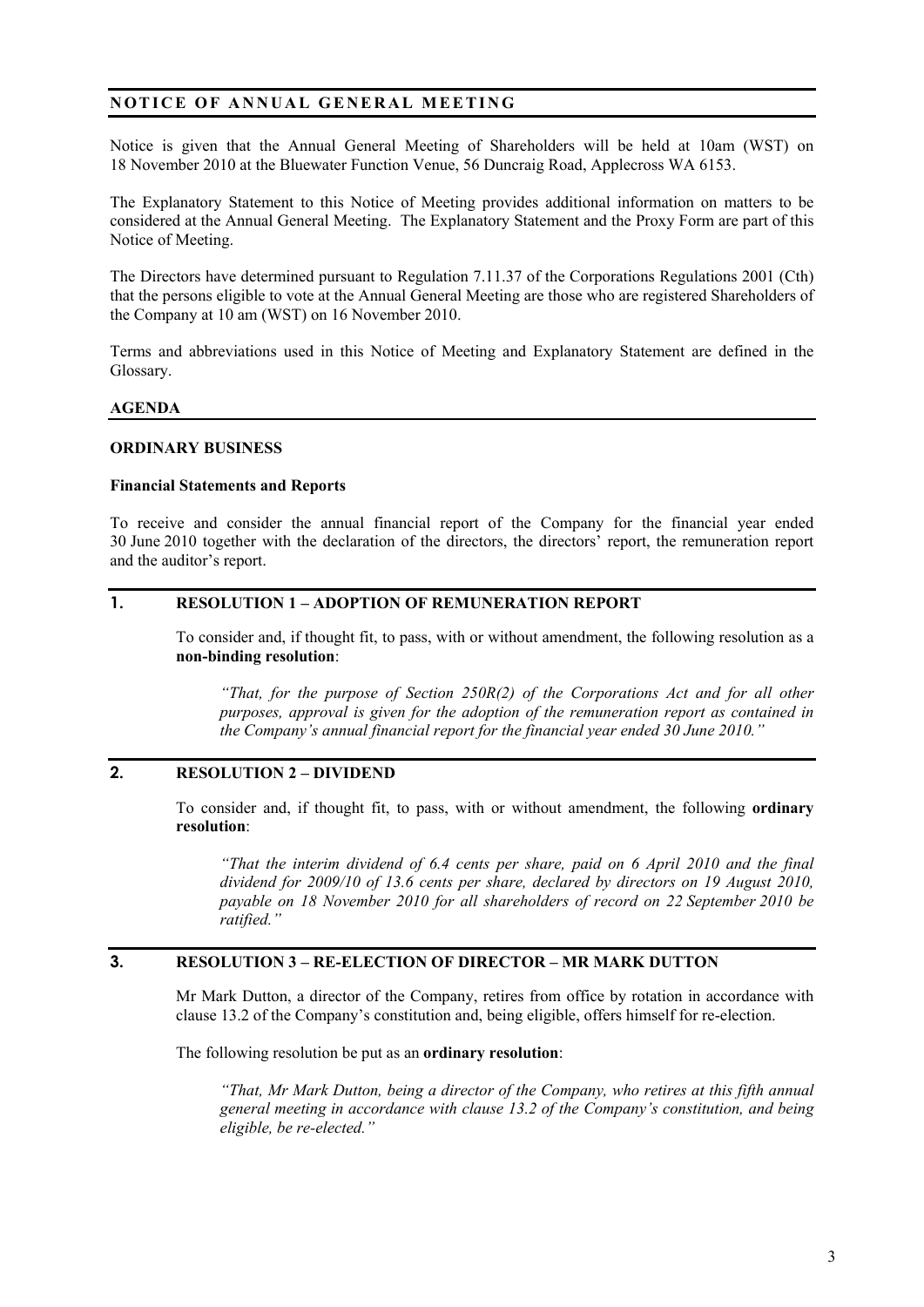# **NOTICE OF ANNUAL GENERAL MEETING**

Notice is given that the Annual General Meeting of Shareholders will be held at 10am (WST) on 18 November 2010 at the Bluewater Function Venue, 56 Duncraig Road, Applecross WA 6153.

The Explanatory Statement to this Notice of Meeting provides additional information on matters to be considered at the Annual General Meeting. The Explanatory Statement and the Proxy Form are part of this Notice of Meeting.

The Directors have determined pursuant to Regulation 7.11.37 of the Corporations Regulations 2001 (Cth) that the persons eligible to vote at the Annual General Meeting are those who are registered Shareholders of the Company at 10 am (WST) on 16 November 2010.

Terms and abbreviations used in this Notice of Meeting and Explanatory Statement are defined in the Glossary.

#### **AGENDA**

#### **ORDINARY BUSINESS**

#### **Financial Statements and Reports**

To receive and consider the annual financial report of the Company for the financial year ended 30 June 2010 together with the declaration of the directors, the directors' report, the remuneration report and the auditor's report.

## **1. RESOLUTION 1 – ADOPTION OF REMUNERATION REPORT**

To consider and, if thought fit, to pass, with or without amendment, the following resolution as a **non-binding resolution**:

*"That, for the purpose of Section 250R(2) of the Corporations Act and for all other purposes, approval is given for the adoption of the remuneration report as contained in the Company's annual financial report for the financial year ended 30 June 2010."* 

#### **2. RESOLUTION 2 – DIVIDEND**

To consider and, if thought fit, to pass, with or without amendment, the following **ordinary resolution**:

*"That the interim dividend of 6.4 cents per share, paid on 6 April 2010 and the final dividend for 2009/10 of 13.6 cents per share, declared by directors on 19 August 2010, payable on 18 November 2010 for all shareholders of record on 22 September 2010 be ratified."* 

#### **3. RESOLUTION 3 – RE-ELECTION OF DIRECTOR – MR MARK DUTTON**

Mr Mark Dutton, a director of the Company, retires from office by rotation in accordance with clause 13.2 of the Company's constitution and, being eligible, offers himself for re-election.

The following resolution be put as an **ordinary resolution**:

*"That, Mr Mark Dutton, being a director of the Company, who retires at this fifth annual general meeting in accordance with clause 13.2 of the Company's constitution, and being eligible, be re-elected."*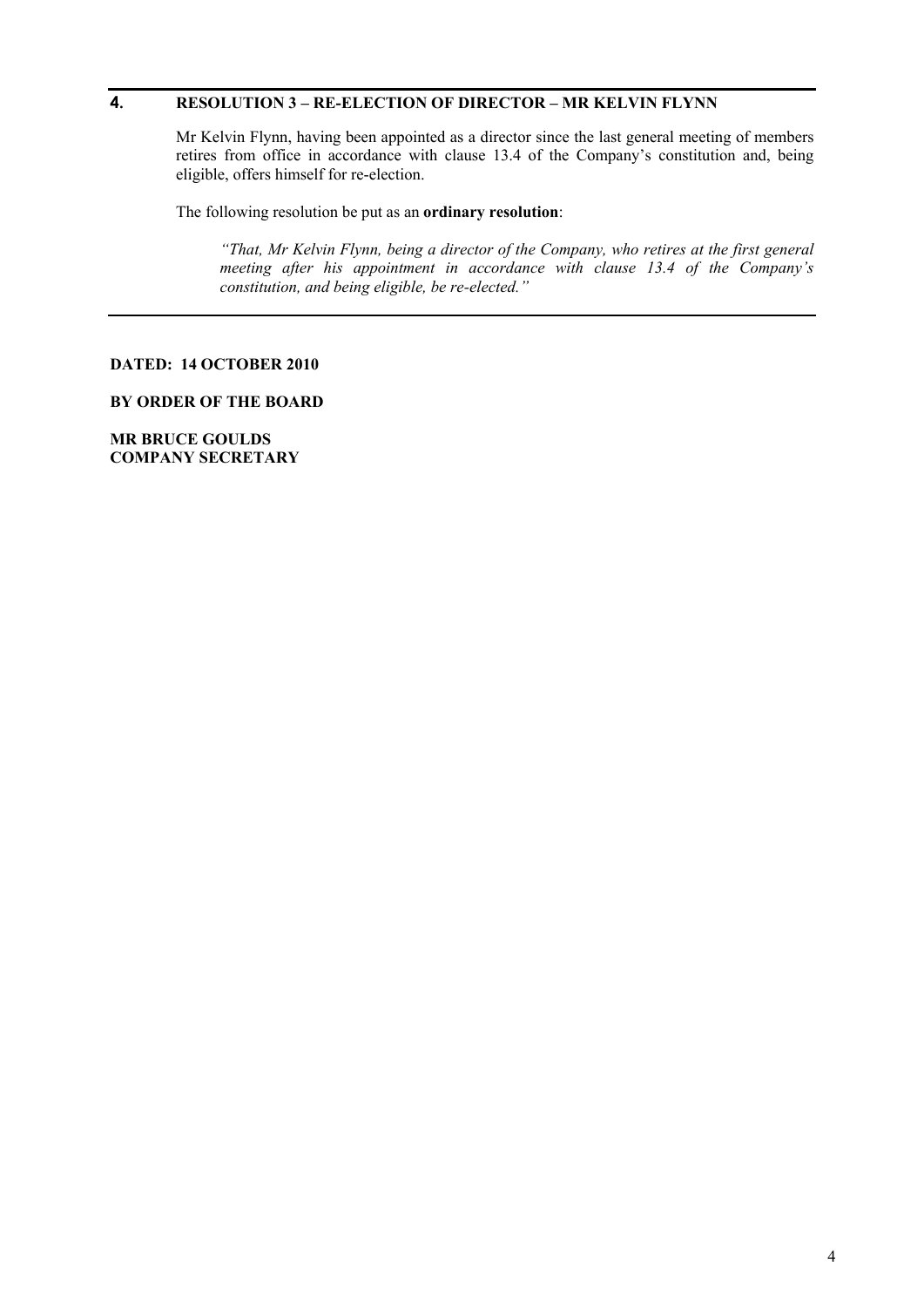# **4. RESOLUTION 3 – RE-ELECTION OF DIRECTOR – MR KELVIN FLYNN**

Mr Kelvin Flynn, having been appointed as a director since the last general meeting of members retires from office in accordance with clause 13.4 of the Company's constitution and, being eligible, offers himself for re-election.

The following resolution be put as an **ordinary resolution**:

*"That, Mr Kelvin Flynn, being a director of the Company, who retires at the first general meeting after his appointment in accordance with clause 13.4 of the Company's constitution, and being eligible, be re-elected."* 

#### **DATED: 14 OCTOBER 2010**

## **BY ORDER OF THE BOARD**

**MR BRUCE GOULDS COMPANY SECRETARY**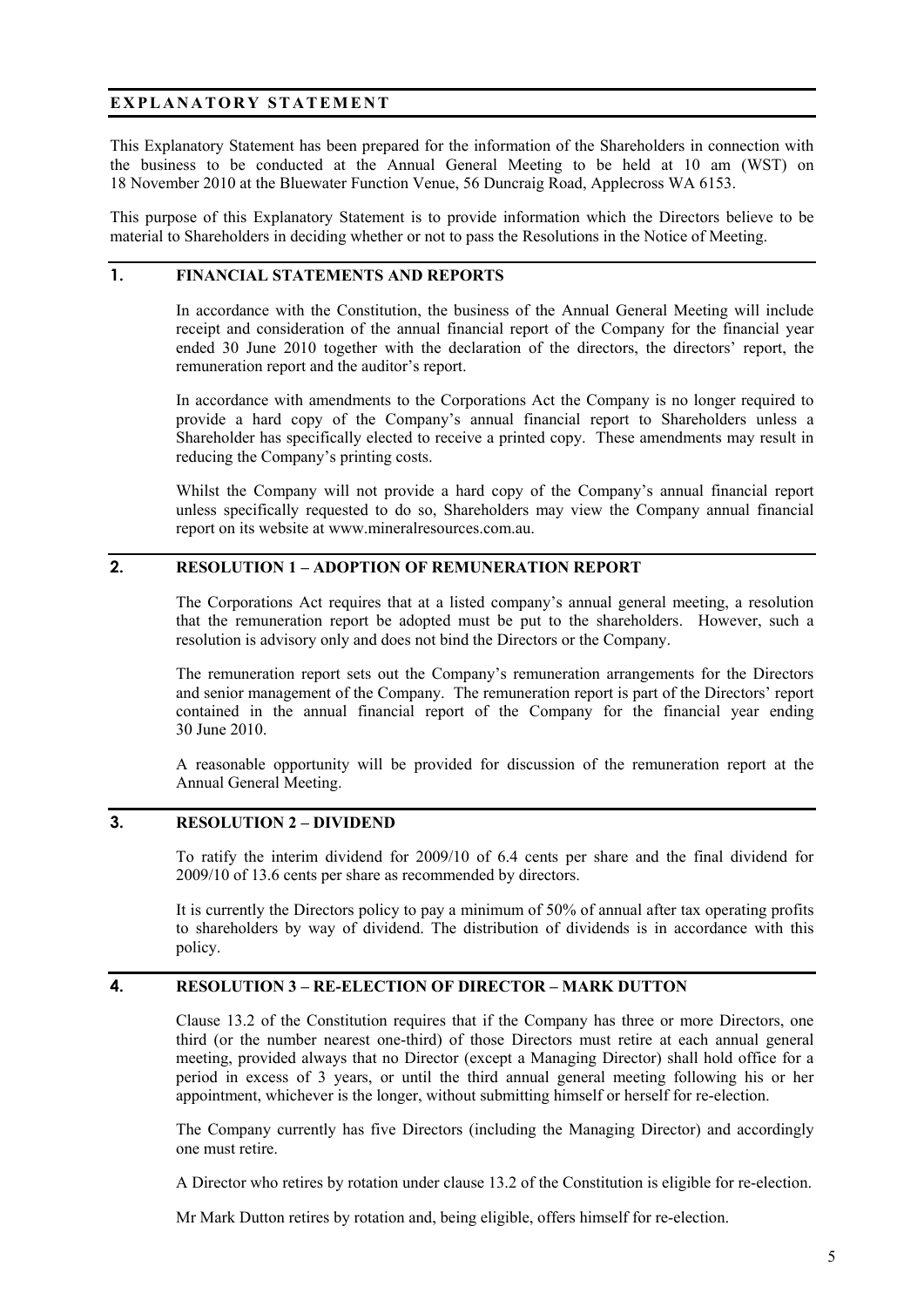# **EXPLANATORY STATEMENT**

This Explanatory Statement has been prepared for the information of the Shareholders in connection with the business to be conducted at the Annual General Meeting to be held at 10 am (WST) on 18 November 2010 at the Bluewater Function Venue, 56 Duncraig Road, Applecross WA 6153.

This purpose of this Explanatory Statement is to provide information which the Directors believe to be material to Shareholders in deciding whether or not to pass the Resolutions in the Notice of Meeting.

#### **1. FINANCIAL STATEMENTS AND REPORTS**

In accordance with the Constitution, the business of the Annual General Meeting will include receipt and consideration of the annual financial report of the Company for the financial year ended 30 June 2010 together with the declaration of the directors, the directors' report, the remuneration report and the auditor's report.

In accordance with amendments to the Corporations Act the Company is no longer required to provide a hard copy of the Company's annual financial report to Shareholders unless a Shareholder has specifically elected to receive a printed copy. These amendments may result in reducing the Company's printing costs.

Whilst the Company will not provide a hard copy of the Company's annual financial report unless specifically requested to do so, Shareholders may view the Company annual financial report on its website at www.mineralresources.com.au.

#### **2. RESOLUTION 1 – ADOPTION OF REMUNERATION REPORT**

The Corporations Act requires that at a listed company's annual general meeting, a resolution that the remuneration report be adopted must be put to the shareholders. However, such a resolution is advisory only and does not bind the Directors or the Company.

The remuneration report sets out the Company's remuneration arrangements for the Directors and senior management of the Company. The remuneration report is part of the Directors' report contained in the annual financial report of the Company for the financial year ending 30 June 2010.

A reasonable opportunity will be provided for discussion of the remuneration report at the Annual General Meeting.

#### **3. RESOLUTION 2 – DIVIDEND**

To ratify the interim dividend for 2009/10 of 6.4 cents per share and the final dividend for 2009/10 of 13.6 cents per share as recommended by directors.

It is currently the Directors policy to pay a minimum of 50% of annual after tax operating profits to shareholders by way of dividend. The distribution of dividends is in accordance with this policy.

#### **4. RESOLUTION 3 – RE-ELECTION OF DIRECTOR – MARK DUTTON**

Clause 13.2 of the Constitution requires that if the Company has three or more Directors, one third (or the number nearest one-third) of those Directors must retire at each annual general meeting, provided always that no Director (except a Managing Director) shall hold office for a period in excess of 3 years, or until the third annual general meeting following his or her appointment, whichever is the longer, without submitting himself or herself for re-election.

The Company currently has five Directors (including the Managing Director) and accordingly one must retire.

A Director who retires by rotation under clause 13.2 of the Constitution is eligible for re-election.

Mr Mark Dutton retires by rotation and, being eligible, offers himself for re-election.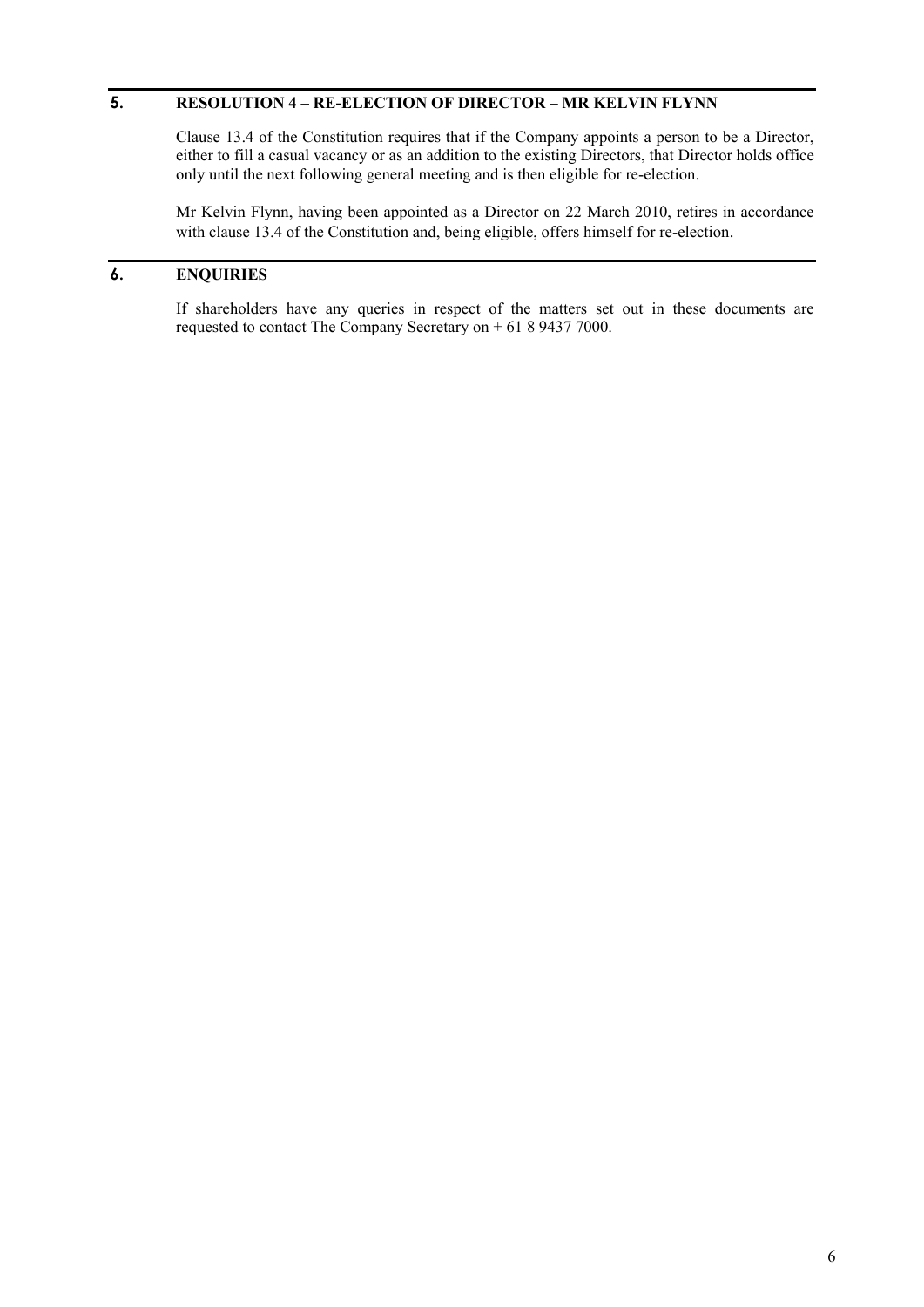# **5. RESOLUTION 4 – RE-ELECTION OF DIRECTOR – MR KELVIN FLYNN**

Clause 13.4 of the Constitution requires that if the Company appoints a person to be a Director, either to fill a casual vacancy or as an addition to the existing Directors, that Director holds office only until the next following general meeting and is then eligible for re-election.

Mr Kelvin Flynn, having been appointed as a Director on 22 March 2010, retires in accordance with clause 13.4 of the Constitution and, being eligible, offers himself for re-election.

# **6. ENQUIRIES**

If shareholders have any queries in respect of the matters set out in these documents are requested to contact The Company Secretary on + 61 8 9437 7000.